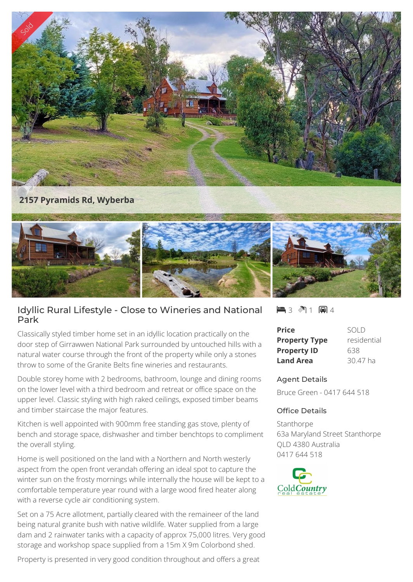

## Idyllic Rural Lifestyle - Close to Wineries and National Park

Classically styled timber home set in an idyllic location practically on the door step of Girrawwen National Park surrounded by untouched hills with a natural water course through the front of the property while only a stones throw to some of the Granite Belts fine wineries and restaurants.

Double storey home with 2 bedrooms, bathroom, lounge and dining rooms on the lower level with a third bedroom and retreat or office space on the upper level. Classic styling with high raked ceilings, exposed timber beams and timber staircase the major features.

Kitchen is well appointed with 900mm free standing gas stove, plenty of bench and storage space, dishwasher and timber benchtops to compliment the overall styling.

Home is well positioned on the land with a Northern and North westerly aspect from the open front verandah offering an ideal spot to capture the winter sun on the frosty mornings while internally the house will be kept to a comfortable temperature year round with a large wood fired heater along with a reverse cycle air conditioning system.

Set on a 75 Acre allotment, partially cleared with the remaineer of the land being natural granite bush with native wildlife. Water supplied from a large dam and 2 rainwater tanks with a capacity of approx 75,000 litres. Very good storage and workshop space supplied from a 15m X 9m Colorbond shed.

Property is presented in very good condition throughout and offers a great

 $-3$   $\sqrt[3]{1}$   $-1$   $+1$ 

| Price                | SOI D       |
|----------------------|-------------|
| <b>Property Type</b> | residential |
| <b>Property ID</b>   | 638         |
| <b>Land Area</b>     | 30.47 ha    |

## Agent Details

Bruce Green - 0417 644 518

## Office Details

Stanthorpe 63a Maryland Street Stanthorpe QLD 4380 Australia 0417 644 518